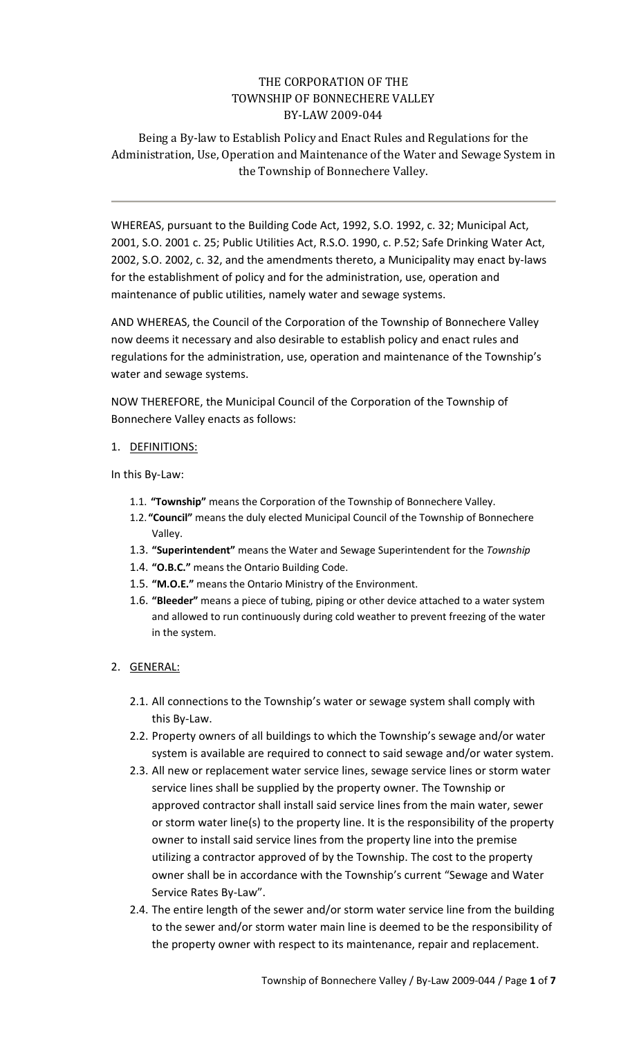# THE CORPORATION OF THE TOWNSHIP OF BONNECHERE VALLEY BY-LAW 2009-044

Being a By-law to Establish Policy and Enact Rules and Regulations for the Administration, Use, Operation and Maintenance of the Water and Sewage System in the Township of Bonnechere Valley.

WHEREAS, pursuant to the Building Code Act, 1992, S.O. 1992, c. 32; Municipal Act, 2001, S.O. 2001 c. 25; Public Utilities Act, R.S.O. 1990, c. P.52; Safe Drinking Water Act, 2002, S.O. 2002, c. 32, and the amendments thereto, a Municipality may enact by-laws for the establishment of policy and for the administration, use, operation and maintenance of public utilities, namely water and sewage systems.

AND WHEREAS, the Council of the Corporation of the Township of Bonnechere Valley now deems it necessary and also desirable to establish policy and enact rules and regulations for the administration, use, operation and maintenance of the Township's water and sewage systems.

NOW THEREFORE, the Municipal Council of the Corporation of the Township of Bonnechere Valley enacts as follows:

#### 1. DEFINITIONS:

In this By-Law:

- 1.1. **"Township"** means the Corporation of the Township of Bonnechere Valley.
- 1.2. **"Council"** means the duly elected Municipal Council of the Township of Bonnechere Valley.
- 1.3. **"Superintendent"** means the Water and Sewage Superintendent for the *Township*
- 1.4. **"O.B.C."** means the Ontario Building Code.
- 1.5. **"M.O.E."** means the Ontario Ministry of the Environment.
- 1.6. **"Bleeder"** means a piece of tubing, piping or other device attached to a water system and allowed to run continuously during cold weather to prevent freezing of the water in the system.

## 2. GENERAL:

- 2.1. All connections to the Township's water or sewage system shall comply with this By-Law.
- 2.2. Property owners of all buildings to which the Township's sewage and/or water system is available are required to connect to said sewage and/or water system.
- 2.3. All new or replacement water service lines, sewage service lines or storm water service lines shall be supplied by the property owner. The Township or approved contractor shall install said service lines from the main water, sewer or storm water line(s) to the property line. It is the responsibility of the property owner to install said service lines from the property line into the premise utilizing a contractor approved of by the Township. The cost to the property owner shall be in accordance with the Township's current "Sewage and Water Service Rates By-Law".
- 2.4. The entire length of the sewer and/or storm water service line from the building to the sewer and/or storm water main line is deemed to be the responsibility of the property owner with respect to its maintenance, repair and replacement.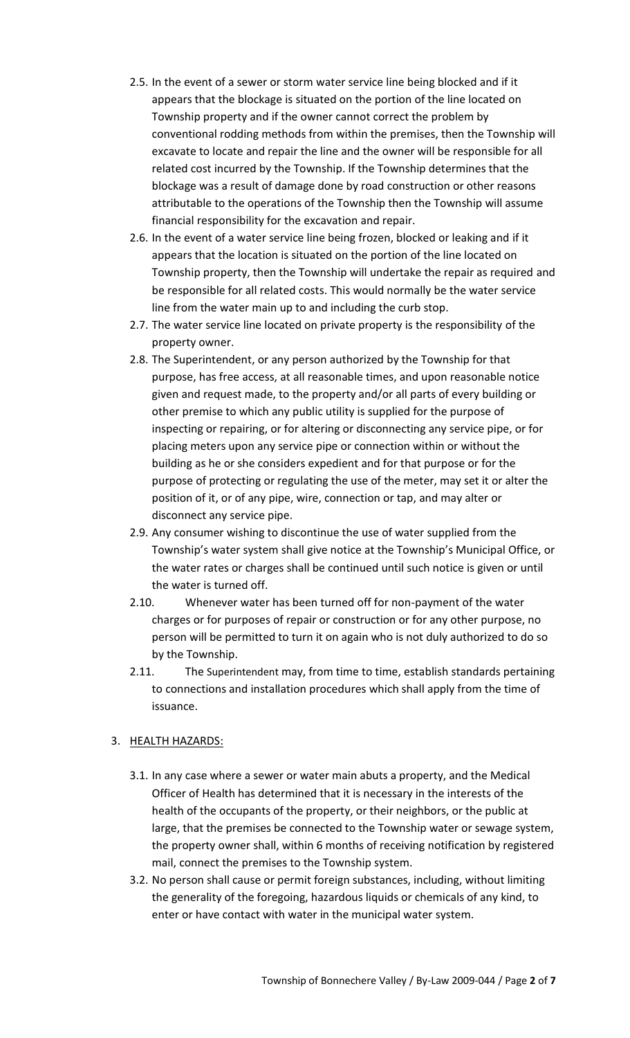- 2.5. In the event of a sewer or storm water service line being blocked and if it appears that the blockage is situated on the portion of the line located on Township property and if the owner cannot correct the problem by conventional rodding methods from within the premises, then the Township will excavate to locate and repair the line and the owner will be responsible for all related cost incurred by the Township. If the Township determines that the blockage was a result of damage done by road construction or other reasons attributable to the operations of the Township then the Township will assume financial responsibility for the excavation and repair.
- 2.6. In the event of a water service line being frozen, blocked or leaking and if it appears that the location is situated on the portion of the line located on Township property, then the Township will undertake the repair as required and be responsible for all related costs. This would normally be the water service line from the water main up to and including the curb stop.
- 2.7. The water service line located on private property is the responsibility of the property owner.
- 2.8. The Superintendent, or any person authorized by the Township for that purpose, has free access, at all reasonable times, and upon reasonable notice given and request made, to the property and/or all parts of every building or other premise to which any public utility is supplied for the purpose of inspecting or repairing, or for altering or disconnecting any service pipe, or for placing meters upon any service pipe or connection within or without the building as he or she considers expedient and for that purpose or for the purpose of protecting or regulating the use of the meter, may set it or alter the position of it, or of any pipe, wire, connection or tap, and may alter or disconnect any service pipe.
- 2.9. Any consumer wishing to discontinue the use of water supplied from the Township's water system shall give notice at the Township's Municipal Office, or the water rates or charges shall be continued until such notice is given or until the water is turned off.
- 2.10. Whenever water has been turned off for non-payment of the water charges or for purposes of repair or construction or for any other purpose, no person will be permitted to turn it on again who is not duly authorized to do so by the Township.
- 2.11. The Superintendent may, from time to time, establish standards pertaining to connections and installation procedures which shall apply from the time of issuance.

## 3. HEALTH HAZARDS:

- 3.1. In any case where a sewer or water main abuts a property, and the Medical Officer of Health has determined that it is necessary in the interests of the health of the occupants of the property, or their neighbors, or the public at large, that the premises be connected to the Township water or sewage system, the property owner shall, within 6 months of receiving notification by registered mail, connect the premises to the Township system.
- 3.2. No person shall cause or permit foreign substances, including, without limiting the generality of the foregoing, hazardous liquids or chemicals of any kind, to enter or have contact with water in the municipal water system.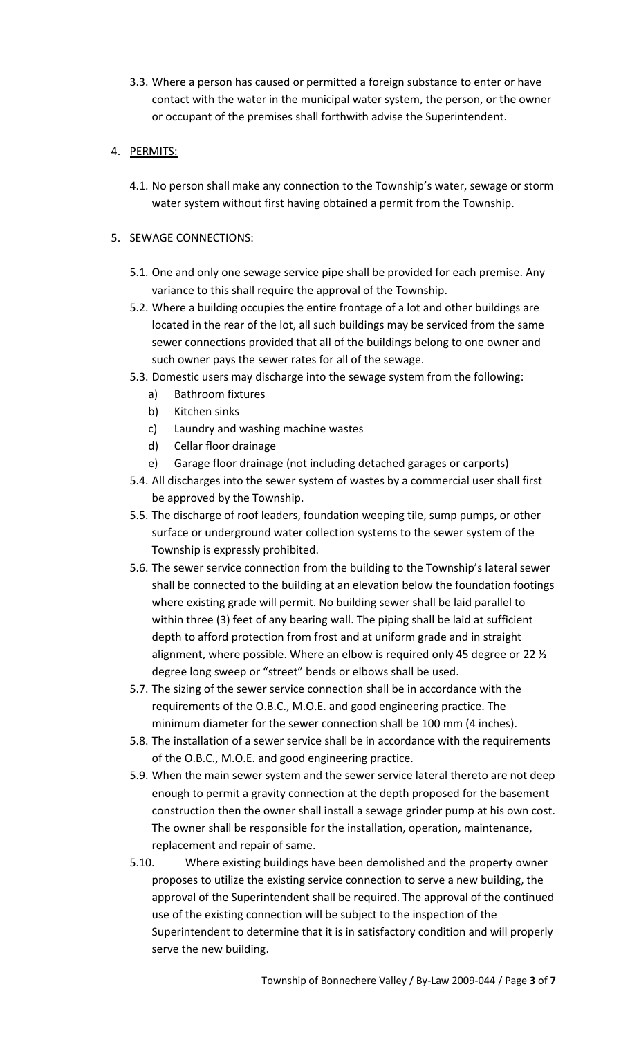3.3. Where a person has caused or permitted a foreign substance to enter or have contact with the water in the municipal water system, the person, or the owner or occupant of the premises shall forthwith advise the Superintendent.

# 4. PERMITS:

4.1. No person shall make any connection to the Township's water, sewage or storm water system without first having obtained a permit from the Township.

# 5. SEWAGE CONNECTIONS:

- 5.1. One and only one sewage service pipe shall be provided for each premise. Any variance to this shall require the approval of the Township.
- 5.2. Where a building occupies the entire frontage of a lot and other buildings are located in the rear of the lot, all such buildings may be serviced from the same sewer connections provided that all of the buildings belong to one owner and such owner pays the sewer rates for all of the sewage.
- 5.3. Domestic users may discharge into the sewage system from the following:
	- a) Bathroom fixtures
	- b) Kitchen sinks
	- c) Laundry and washing machine wastes
	- d) Cellar floor drainage
	- e) Garage floor drainage (not including detached garages or carports)
- 5.4. All discharges into the sewer system of wastes by a commercial user shall first be approved by the Township.
- 5.5. The discharge of roof leaders, foundation weeping tile, sump pumps, or other surface or underground water collection systems to the sewer system of the Township is expressly prohibited.
- 5.6. The sewer service connection from the building to the Township's lateral sewer shall be connected to the building at an elevation below the foundation footings where existing grade will permit. No building sewer shall be laid parallel to within three (3) feet of any bearing wall. The piping shall be laid at sufficient depth to afford protection from frost and at uniform grade and in straight alignment, where possible. Where an elbow is required only 45 degree or 22 ½ degree long sweep or "street" bends or elbows shall be used.
- 5.7. The sizing of the sewer service connection shall be in accordance with the requirements of the O.B.C., M.O.E. and good engineering practice. The minimum diameter for the sewer connection shall be 100 mm (4 inches).
- 5.8. The installation of a sewer service shall be in accordance with the requirements of the O.B.C., M.O.E. and good engineering practice.
- 5.9. When the main sewer system and the sewer service lateral thereto are not deep enough to permit a gravity connection at the depth proposed for the basement construction then the owner shall install a sewage grinder pump at his own cost. The owner shall be responsible for the installation, operation, maintenance, replacement and repair of same.
- 5.10. Where existing buildings have been demolished and the property owner proposes to utilize the existing service connection to serve a new building, the approval of the Superintendent shall be required. The approval of the continued use of the existing connection will be subject to the inspection of the Superintendent to determine that it is in satisfactory condition and will properly serve the new building.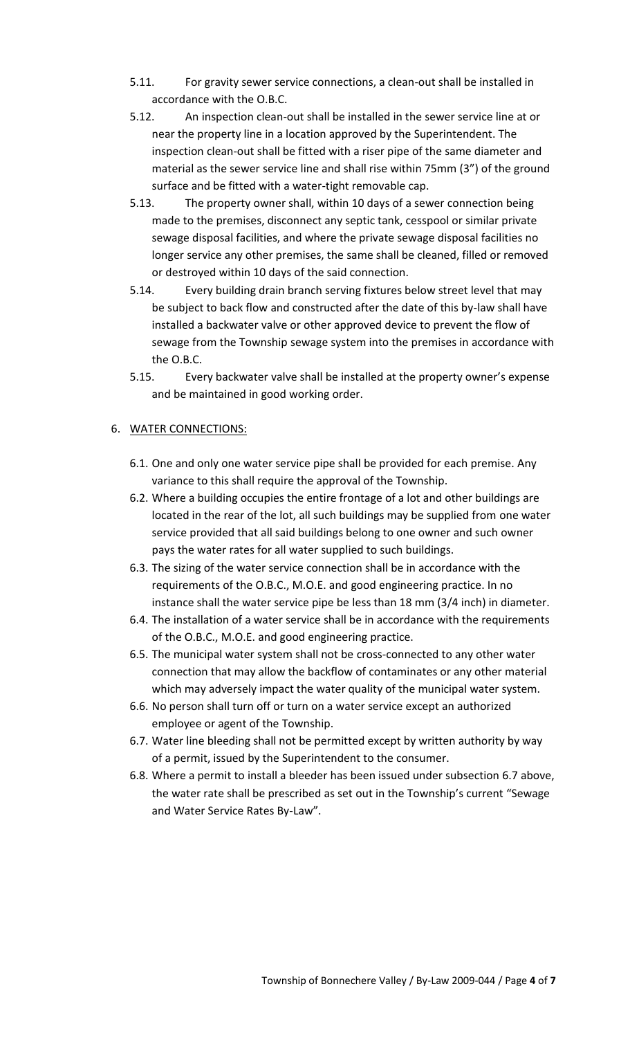- 5.11. For gravity sewer service connections, a clean-out shall be installed in accordance with the O.B.C.
- 5.12. An inspection clean-out shall be installed in the sewer service line at or near the property line in a location approved by the Superintendent. The inspection clean-out shall be fitted with a riser pipe of the same diameter and material as the sewer service line and shall rise within 75mm (3") of the ground surface and be fitted with a water-tight removable cap.
- 5.13. The property owner shall, within 10 days of a sewer connection being made to the premises, disconnect any septic tank, cesspool or similar private sewage disposal facilities, and where the private sewage disposal facilities no longer service any other premises, the same shall be cleaned, filled or removed or destroyed within 10 days of the said connection.
- 5.14. Every building drain branch serving fixtures below street level that may be subject to back flow and constructed after the date of this by-law shall have installed a backwater valve or other approved device to prevent the flow of sewage from the Township sewage system into the premises in accordance with the O.B.C.
- 5.15. Every backwater valve shall be installed at the property owner's expense and be maintained in good working order.

### 6. WATER CONNECTIONS:

- 6.1. One and only one water service pipe shall be provided for each premise. Any variance to this shall require the approval of the Township.
- 6.2. Where a building occupies the entire frontage of a lot and other buildings are located in the rear of the lot, all such buildings may be supplied from one water service provided that all said buildings belong to one owner and such owner pays the water rates for all water supplied to such buildings.
- 6.3. The sizing of the water service connection shall be in accordance with the requirements of the O.B.C., M.O.E. and good engineering practice. In no instance shall the water service pipe be less than 18 mm (3/4 inch) in diameter.
- 6.4. The installation of a water service shall be in accordance with the requirements of the O.B.C., M.O.E. and good engineering practice.
- 6.5. The municipal water system shall not be cross-connected to any other water connection that may allow the backflow of contaminates or any other material which may adversely impact the water quality of the municipal water system.
- 6.6. No person shall turn off or turn on a water service except an authorized employee or agent of the Township.
- 6.7. Water line bleeding shall not be permitted except by written authority by way of a permit, issued by the Superintendent to the consumer.
- 6.8. Where a permit to install a bleeder has been issued under subsection 6.7 above, the water rate shall be prescribed as set out in the Township's current "Sewage and Water Service Rates By-Law".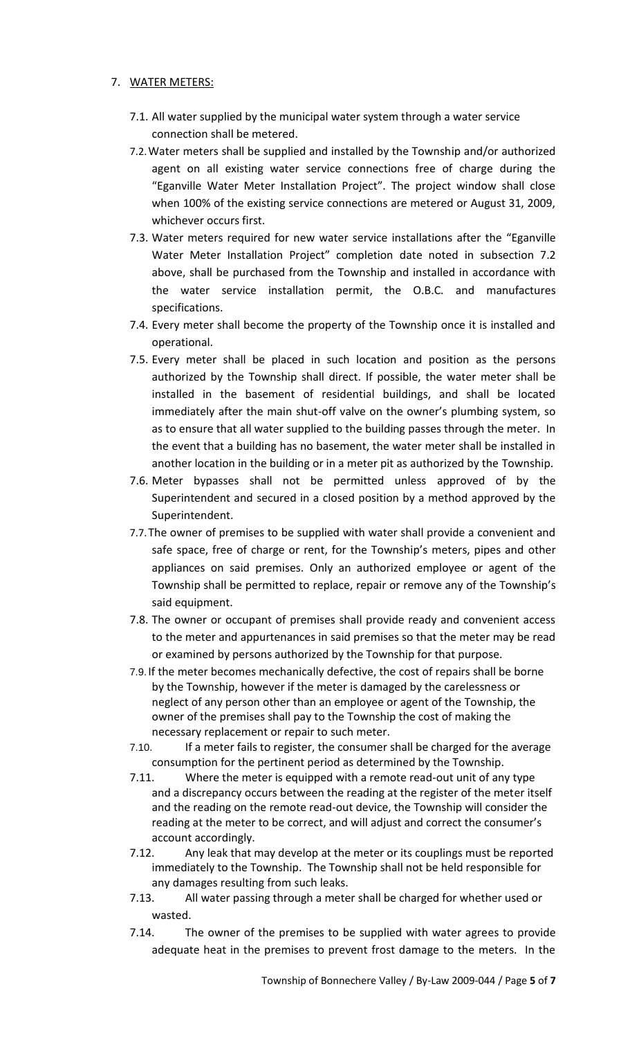### 7. WATER METERS:

- 7.1. All water supplied by the municipal water system through a water service connection shall be metered.
- 7.2.Water meters shall be supplied and installed by the Township and/or authorized agent on all existing water service connections free of charge during the "Eganville Water Meter Installation Project". The project window shall close when 100% of the existing service connections are metered or August 31, 2009, whichever occurs first.
- 7.3. Water meters required for new water service installations after the "Eganville Water Meter Installation Project" completion date noted in subsection 7.2 above, shall be purchased from the Township and installed in accordance with the water service installation permit, the O.B.C. and manufactures specifications.
- 7.4. Every meter shall become the property of the Township once it is installed and operational.
- 7.5. Every meter shall be placed in such location and position as the persons authorized by the Township shall direct. If possible, the water meter shall be installed in the basement of residential buildings, and shall be located immediately after the main shut-off valve on the owner's plumbing system, so as to ensure that all water supplied to the building passes through the meter. In the event that a building has no basement, the water meter shall be installed in another location in the building or in a meter pit as authorized by the Township.
- 7.6. Meter bypasses shall not be permitted unless approved of by the Superintendent and secured in a closed position by a method approved by the Superintendent.
- 7.7.The owner of premises to be supplied with water shall provide a convenient and safe space, free of charge or rent, for the Township's meters, pipes and other appliances on said premises. Only an authorized employee or agent of the Township shall be permitted to replace, repair or remove any of the Township's said equipment.
- 7.8. The owner or occupant of premises shall provide ready and convenient access to the meter and appurtenances in said premises so that the meter may be read or examined by persons authorized by the Township for that purpose.
- 7.9. If the meter becomes mechanically defective, the cost of repairs shall be borne by the Township, however if the meter is damaged by the carelessness or neglect of any person other than an employee or agent of the Township, the owner of the premises shall pay to the Township the cost of making the necessary replacement or repair to such meter.
- 7.10. If a meter fails to register, the consumer shall be charged for the average consumption for the pertinent period as determined by the Township.
- 7.11. Where the meter is equipped with a remote read-out unit of any type and a discrepancy occurs between the reading at the register of the meter itself and the reading on the remote read-out device, the Township will consider the reading at the meter to be correct, and will adjust and correct the consumer's account accordingly.
- 7.12. Any leak that may develop at the meter or its couplings must be reported immediately to the Township. The Township shall not be held responsible for any damages resulting from such leaks.
- 7.13. All water passing through a meter shall be charged for whether used or wasted.
- 7.14. The owner of the premises to be supplied with water agrees to provide adequate heat in the premises to prevent frost damage to the meters. In the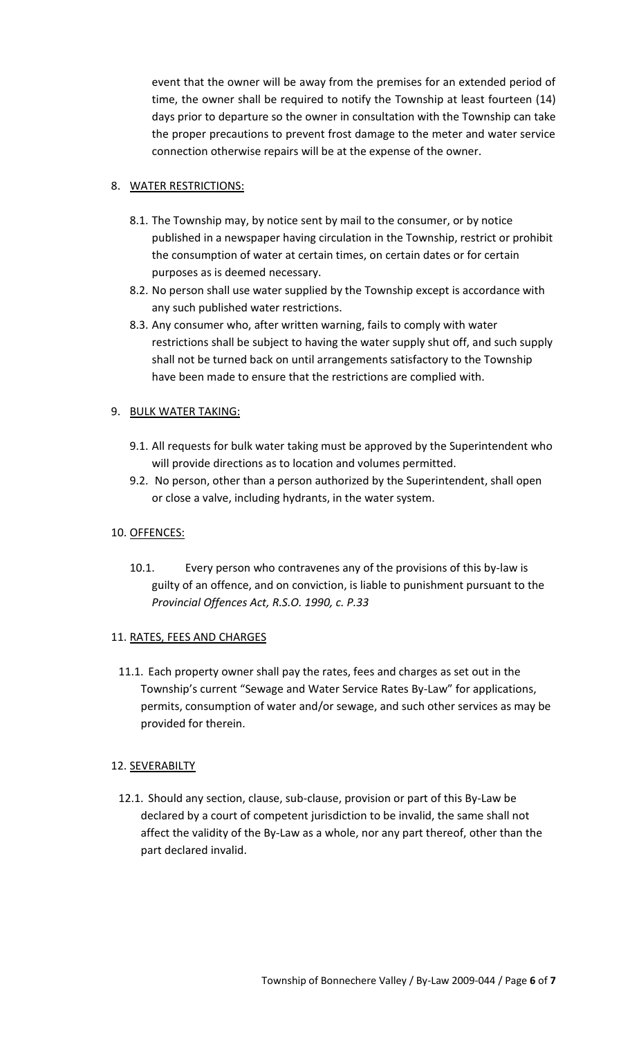event that the owner will be away from the premises for an extended period of time, the owner shall be required to notify the Township at least fourteen (14) days prior to departure so the owner in consultation with the Township can take the proper precautions to prevent frost damage to the meter and water service connection otherwise repairs will be at the expense of the owner.

### 8. WATER RESTRICTIONS:

- 8.1. The Township may, by notice sent by mail to the consumer, or by notice published in a newspaper having circulation in the Township, restrict or prohibit the consumption of water at certain times, on certain dates or for certain purposes as is deemed necessary.
- 8.2. No person shall use water supplied by the Township except is accordance with any such published water restrictions.
- 8.3. Any consumer who, after written warning, fails to comply with water restrictions shall be subject to having the water supply shut off, and such supply shall not be turned back on until arrangements satisfactory to the Township have been made to ensure that the restrictions are complied with.

### 9. BULK WATER TAKING:

- 9.1. All requests for bulk water taking must be approved by the Superintendent who will provide directions as to location and volumes permitted.
- 9.2. No person, other than a person authorized by the Superintendent, shall open or close a valve, including hydrants, in the water system.

#### 10. OFFENCES:

10.1. Every person who contravenes any of the provisions of this by-law is guilty of an offence, and on conviction, is liable to punishment pursuant to the *Provincial Offences Act, R.S.O. 1990, c. P.33*

#### 11. RATES, FEES AND CHARGES

11.1. Each property owner shall pay the rates, fees and charges as set out in the Township's current "Sewage and Water Service Rates By-Law" for applications, permits, consumption of water and/or sewage, and such other services as may be provided for therein.

#### 12. SEVERABILTY

12.1. Should any section, clause, sub-clause, provision or part of this By-Law be declared by a court of competent jurisdiction to be invalid, the same shall not affect the validity of the By-Law as a whole, nor any part thereof, other than the part declared invalid.